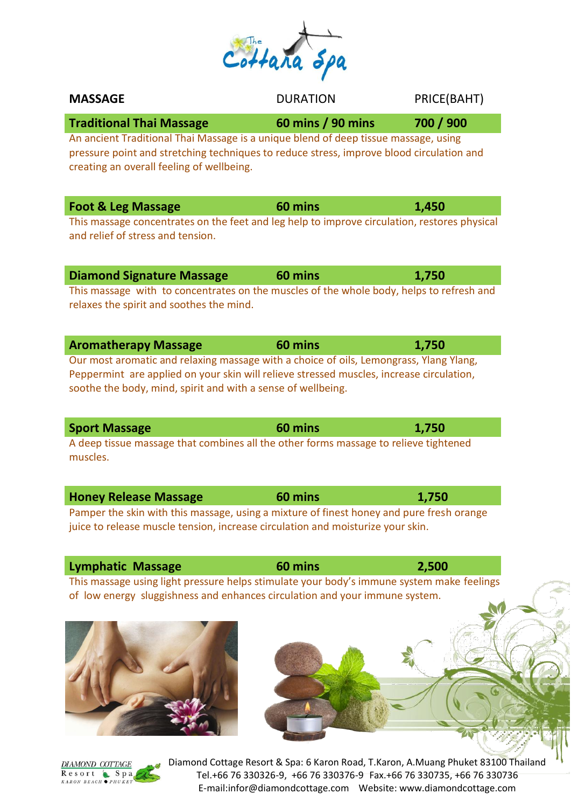| $44a\overline{a}$ | 200 |
|-------------------|-----|
|                   |     |

| <b>MASSAGE</b>                                                                                                                                                                                                                                                                    | <b>DURATION</b>   | PRICE(BAHT) |
|-----------------------------------------------------------------------------------------------------------------------------------------------------------------------------------------------------------------------------------------------------------------------------------|-------------------|-------------|
| <b>Traditional Thai Massage</b><br>An ancient Traditional Thai Massage is a unique blend of deep tissue massage, using<br>pressure point and stretching techniques to reduce stress, improve blood circulation and<br>creating an overall feeling of wellbeing.                   | 60 mins / 90 mins | 700 / 900   |
| <b>Foot &amp; Leg Massage</b><br>This massage concentrates on the feet and leg help to improve circulation, restores physical<br>and relief of stress and tension.                                                                                                                | 60 mins           | 1,450       |
| <b>Diamond Signature Massage</b><br>This massage with to concentrates on the muscles of the whole body, helps to refresh and<br>relaxes the spirit and soothes the mind.                                                                                                          | 60 mins           | 1,750       |
| <b>Aromatherapy Massage</b><br>Our most aromatic and relaxing massage with a choice of oils, Lemongrass, Ylang Ylang,<br>Peppermint are applied on your skin will relieve stressed muscles, increase circulation,<br>soothe the body, mind, spirit and with a sense of wellbeing. | 60 mins           | 1,750       |
|                                                                                                                                                                                                                                                                                   |                   |             |
| <b>Sport Massage</b><br>A deep tissue massage that combines all the other forms massage to relieve tightened<br>muscles.                                                                                                                                                          | 60 mins           | 1,750       |
| <b>Honey Release Massage</b><br>Pamper the skin with this massage, using a mixture of finest honey and pure fresh orange<br>juice to release muscle tension, increase circulation and moisturize your skin.                                                                       | 60 mins           | 1,750       |

This massage using light pressure helps stimulate your body's immune system make feelings of low energy sluggishness and enhances circulation and your immune system.



Diamond Cottage Resort & Spa: 6 Karon Road, T.Karon, A.Muang Phuket 83100 Thailand Tel.+66 76 330326-9, +66 76 330376-9 Fax.+66 76 330735, +66 76 330736 E-mail:infor@diamondcottage.com Website: www.diamondcottage.com

Л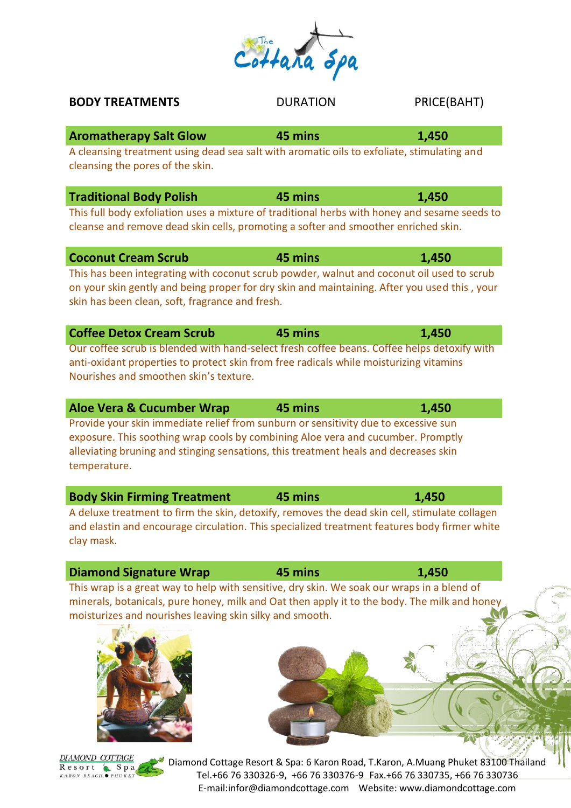# Tel.+66 76 330326-9, +66 76 330376-9 Fax.+66 76 330735, +66 76 330736

**BODY TREATMENTS** DURATION PRICE(BAHT)

**Aromatherapy Salt Glow 45 mins 1,450** A cleansing treatment using dead sea salt with aromatic oils to exfoliate, stimulating and cleansing the pores of the skin.

| <b>Traditional Body Polish</b> | 45 mins                                                                                       | 1,450 |
|--------------------------------|-----------------------------------------------------------------------------------------------|-------|
|                                | This full body exfoliation uses a mixture of traditional herbs with honey and sesame seeds to |       |
|                                | cleanse and remove dead skin cells, promoting a softer and smoother enriched skin.            |       |

| <b>Coconut Cream Scrub</b>                                                                                                                      | 45 mins | 1,450 |
|-------------------------------------------------------------------------------------------------------------------------------------------------|---------|-------|
| This has been integrating with coconut scrub powder, walnut and coconut oil used to scrub                                                       |         |       |
| on your skin gently and being proper for dry skin and maintaining. After you used this, your<br>skin has been clean, soft, fragrance and fresh. |         |       |

| <b>Coffee Detox Cream Scrub</b>                                                             | 45 mins | 1,450 |
|---------------------------------------------------------------------------------------------|---------|-------|
| Our coffee scrub is blended with hand-select fresh coffee beans. Coffee helps detoxify with |         |       |
| anti-oxidant properties to protect skin from free radicals while moisturizing vitamins      |         |       |
| Nourishes and smoothen skin's texture.                                                      |         |       |

| Aloe Vera & Cucumber Wrap                                                            | 45 mins | 1,450 |
|--------------------------------------------------------------------------------------|---------|-------|
| Provide your skin immediate relief from sunburn or sensitivity due to excessive sun  |         |       |
| exposure. This soothing wrap cools by combining Aloe vera and cucumber. Promptly     |         |       |
| alleviating bruning and stinging sensations, this treatment heals and decreases skin |         |       |
| temperature.                                                                         |         |       |

| <b>Body Skin Firming Treatment</b>                                                            | 45 mins | 1,450 |
|-----------------------------------------------------------------------------------------------|---------|-------|
| A deluxe treatment to firm the skin, detoxify, removes the dead skin cell, stimulate collagen |         |       |
| and elastin and encourage circulation. This specialized treatment features body firmer white  |         |       |
| clay mask.                                                                                    |         |       |

**Diamond Signature Wrap 45 mins** 1,450 This wrap is a great way to help with sensitive, dry skin. We soak our wraps in a blend of minerals, botanicals, pure honey, milk and Oat then apply it to the body. The milk and honey moisturizes and nourishes leaving skin silky and smooth.

**DIAMOND COTTAGE** Resort Spa KARON BEACH OPHUKET

Diamond Cottage Resort & Spa: 6 Karon Road, T.Karon, A.Muang Phuket 83100 Thailand E-mail:infor@diamondcottage.com Website: www.diamondcottage.com



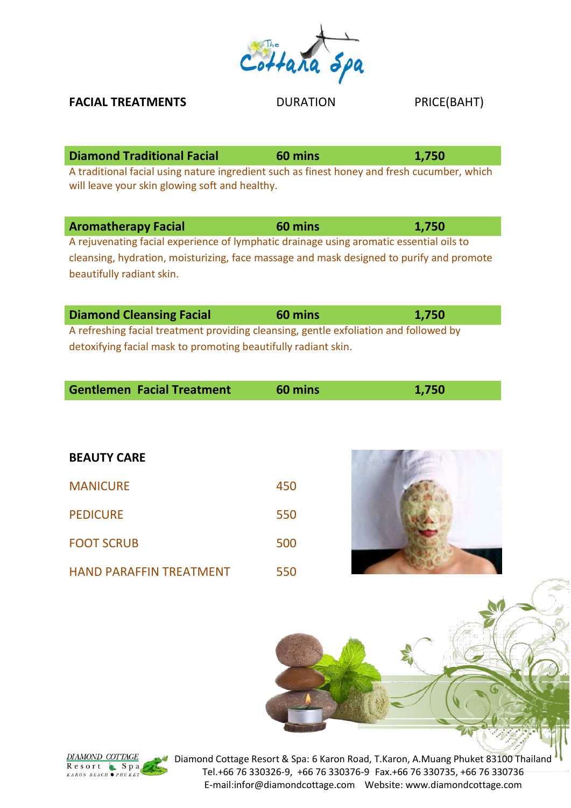

**FACIAL TREATMENTS** DURATION PRICE(BAHT)

| <b>Diamond Traditional Facial</b>                                                           | 60 mins | 1.750 |
|---------------------------------------------------------------------------------------------|---------|-------|
| A traditional facial using nature ingredient such as finest honey and fresh cucumber, which |         |       |
| will leave your skin glowing soft and healthy.                                              |         |       |

| <b>Aromatherapy Facial</b>                                                               | 60 mins | 1,750 |
|------------------------------------------------------------------------------------------|---------|-------|
| A rejuvenating facial experience of lymphatic drainage using aromatic essential oils to  |         |       |
| cleansing, hydration, moisturizing, face massage and mask designed to purify and promote |         |       |
| beautifully radiant skin.                                                                |         |       |

| <b>Diamond Cleansing Facial</b>                                                       | 60 mins | 1,750 |
|---------------------------------------------------------------------------------------|---------|-------|
| A refreshing facial treatment providing cleansing, gentle exfoliation and followed by |         |       |
| detoxifying facial mask to promoting beautifully radiant skin.                        |         |       |

| <b>Gentlemen Facial Treatment</b> | 60 mins | 1,750 |  |
|-----------------------------------|---------|-------|--|
|                                   |         |       |  |

| <b>BEAUTY CARE</b>             |     |
|--------------------------------|-----|
| <b>MANICURE</b>                | 450 |
| <b>PEDICURE</b>                | 550 |
| <b>FOOT SCRUB</b>              | 500 |
| <b>HAND PARAFFIN TREATMENT</b> | 550 |





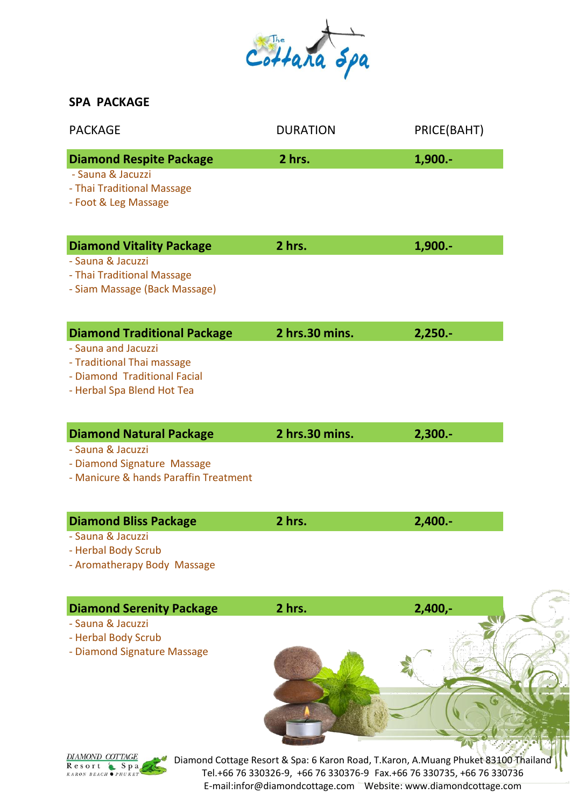

| <b>PACKAGE</b>                                                                                                                                        | <b>DURATION</b> | PRICE(BAHT)               |
|-------------------------------------------------------------------------------------------------------------------------------------------------------|-----------------|---------------------------|
| <b>Diamond Respite Package</b><br>- Sauna & Jacuzzi<br>- Thai Traditional Massage<br>- Foot & Leg Massage                                             | 2 hrs.          | 1,900.-                   |
| <b>Diamond Vitality Package</b><br>- Sauna & Jacuzzi<br>- Thai Traditional Massage<br>- Siam Massage (Back Massage)                                   | 2 hrs.          | 1,900 .-                  |
| <b>Diamond Traditional Package</b><br>- Sauna and Jacuzzi<br>- Traditional Thai massage<br>- Diamond Traditional Facial<br>- Herbal Spa Blend Hot Tea | 2 hrs.30 mins.  | $2,250. -$                |
| <b>Diamond Natural Package</b><br>- Sauna & Jacuzzi<br>- Diamond Signature Massage<br>- Manicure & hands Paraffin Treatment                           | 2 hrs.30 mins.  | $2,300. -$                |
| <b>Diamond Bliss Package</b><br>- Sauna & Jacuzzi<br>- Herbal Body Scrub<br>- Aromatherapy Body Massage                                               | 2 hrs.          | $2,400. -$                |
| <b>Diamond Serenity Package</b>                                                                                                                       | 2 hrs.          | $2,400,-$<br><b>LVAVE</b> |

- Sauna & Jacuzzi

- Herbal Body Scrub

- Diamond Signature Massage

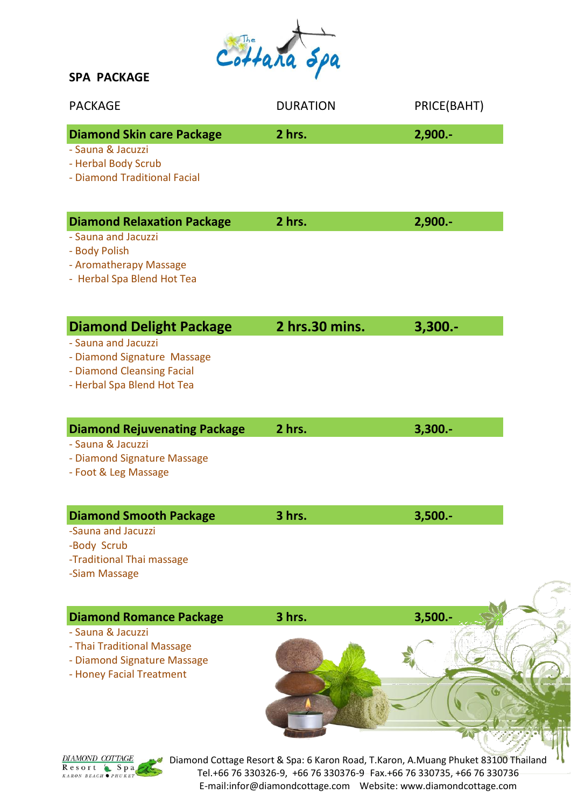

| <b>PACKAGE</b>                                                                                                                                   | <b>DURATION</b> | PRICE(BAHT) |
|--------------------------------------------------------------------------------------------------------------------------------------------------|-----------------|-------------|
| <b>Diamond Skin care Package</b><br>- Sauna & Jacuzzi<br>- Herbal Body Scrub<br>- Diamond Traditional Facial                                     | 2 hrs.          | $2,900. -$  |
| <b>Diamond Relaxation Package</b><br>- Sauna and Jacuzzi<br>- Body Polish<br>- Aromatherapy Massage<br>- Herbal Spa Blend Hot Tea                | 2 hrs.          | $2,900. -$  |
| <b>Diamond Delight Package</b><br>- Sauna and Jacuzzi<br>- Diamond Signature Massage<br>- Diamond Cleansing Facial<br>- Herbal Spa Blend Hot Tea | 2 hrs.30 mins.  | $3,300. -$  |
| <b>Diamond Rejuvenating Package</b><br>- Sauna & Jacuzzi<br>- Diamond Signature Massage<br>- Foot & Leg Massage                                  | 2 hrs.          | $3,300. -$  |
| <b>Diamond Smooth Package</b><br>-Sauna and Jacuzzi<br>-Body Scrub<br>-Traditional Thai massage<br>-Siam Massage                                 | 3 hrs.          | $3,500. -$  |
| <b>Diamond Romance Package</b><br>- Sauna & Jacuzzi<br>- Thai Traditional Massage<br>- Diamond Signature Massage<br>- Honey Facial Treatment     | 3 hrs.          | $3,500.-$   |

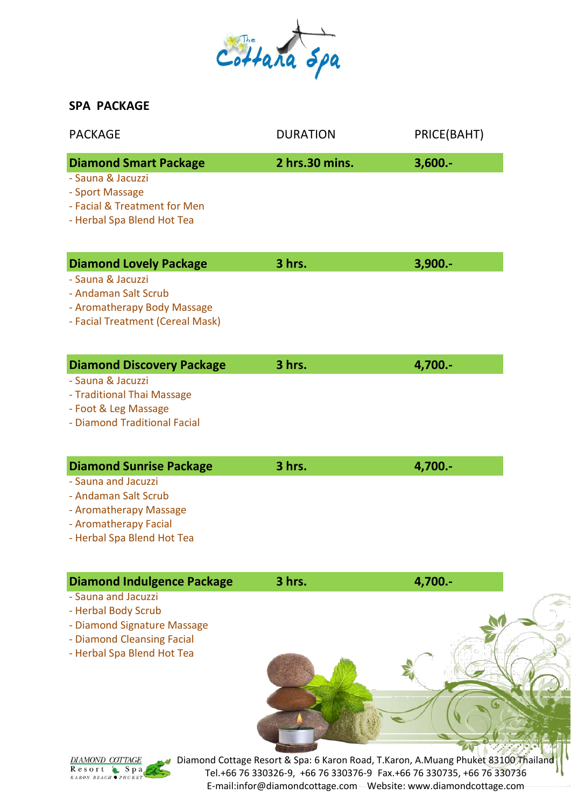

| <b>PACKAGE</b>                                                                                                                                                             | <b>DURATION</b> | PRICE(BAHT) |
|----------------------------------------------------------------------------------------------------------------------------------------------------------------------------|-----------------|-------------|
| <b>Diamond Smart Package</b><br>- Sauna & Jacuzzi<br>- Sport Massage<br>- Facial & Treatment for Men<br>- Herbal Spa Blend Hot Tea                                         | 2 hrs.30 mins.  | $3,600. -$  |
| <b>Diamond Lovely Package</b><br>- Sauna & Jacuzzi<br>- Andaman Salt Scrub<br>- Aromatherapy Body Massage<br>- Facial Treatment (Cereal Mask)                              | 3 hrs.          | $3,900. -$  |
| <b>Diamond Discovery Package</b><br>- Sauna & Jacuzzi<br>- Traditional Thai Massage<br>- Foot & Leg Massage<br>- Diamond Traditional Facial                                | 3 hrs.          | 4,700.-     |
| <b>Diamond Sunrise Package</b><br>- Sauna and Jacuzzi<br>- Andaman Salt Scrub<br>- Aromatherapy Massage<br>- Aromatherapy Facial<br>- Herbal Spa Blend Hot Tea             | 3 hrs.          | 4,700.-     |
| <b>Diamond Indulgence Package</b><br>- Sauna and Jacuzzi<br>- Herbal Body Scrub<br>- Diamond Signature Massage<br>- Diamond Cleansing Facial<br>- Herbal Spa Blend Hot Tea | 3 hrs.          | 4,700.-     |